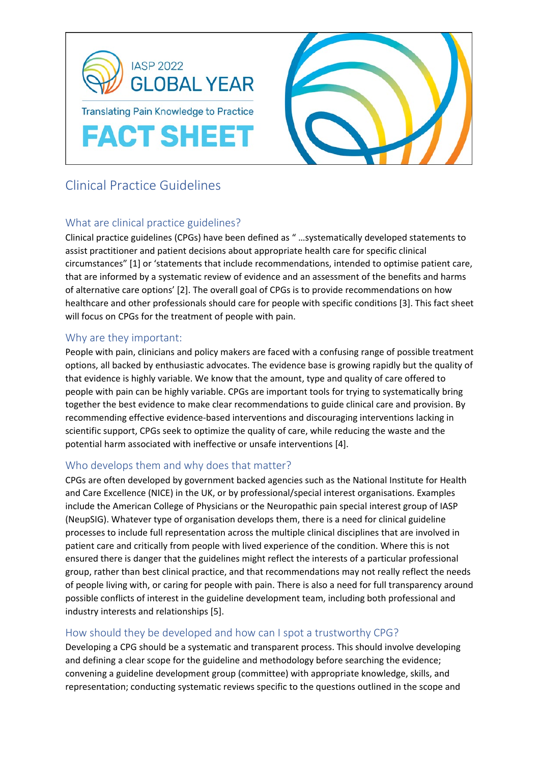

# Clinical Practice Guidelines

## What are clinical practice guidelines?

Clinical practice guidelines (CPGs) have been defined as " …systematically developed statements to assist practitioner and patient decisions about appropriate health care for specific clinical circumstances" [1] or 'statements that include recommendations, intended to optimise patient care, that are informed by a systematic review of evidence and an assessment of the benefits and harms of alternative care options' [2]. The overall goal of CPGs is to provide recommendations on how healthcare and other professionals should care for people with specific conditions [3]. This fact sheet will focus on CPGs for the treatment of people with pain.

## Why are they important:

People with pain, clinicians and policy makers are faced with a confusing range of possible treatment options, all backed by enthusiastic advocates. The evidence base is growing rapidly but the quality of that evidence is highly variable. We know that the amount, type and quality of care offered to people with pain can be highly variable. CPGs are important tools for trying to systematically bring together the best evidence to make clear recommendations to guide clinical care and provision. By recommending effective evidence-based interventions and discouraging interventions lacking in scientific support, CPGs seek to optimize the quality of care, while reducing the waste and the potential harm associated with ineffective or unsafe interventions [4].

## Who develops them and why does that matter?

CPGs are often developed by government backed agencies such as the National Institute for Health and Care Excellence (NICE) in the UK, or by professional/special interest organisations. Examples include the American College of Physicians or the Neuropathic pain special interest group of IASP (NeupSIG). Whatever type of organisation develops them, there is a need for clinical guideline processes to include full representation across the multiple clinical disciplines that are involved in patient care and critically from people with lived experience of the condition. Where this is not ensured there is danger that the guidelines might reflect the interests of a particular professional group, rather than best clinical practice, and that recommendations may not really reflect the needs of people living with, or caring for people with pain. There is also a need for full transparency around possible conflicts of interest in the guideline development team, including both professional and industry interests and relationships [5].

## How should they be developed and how can I spot a trustworthy CPG?

Developing a CPG should be a systematic and transparent process. This should involve developing and defining a clear scope for the guideline and methodology before searching the evidence; convening a guideline development group (committee) with appropriate knowledge, skills, and representation; conducting systematic reviews specific to the questions outlined in the scope and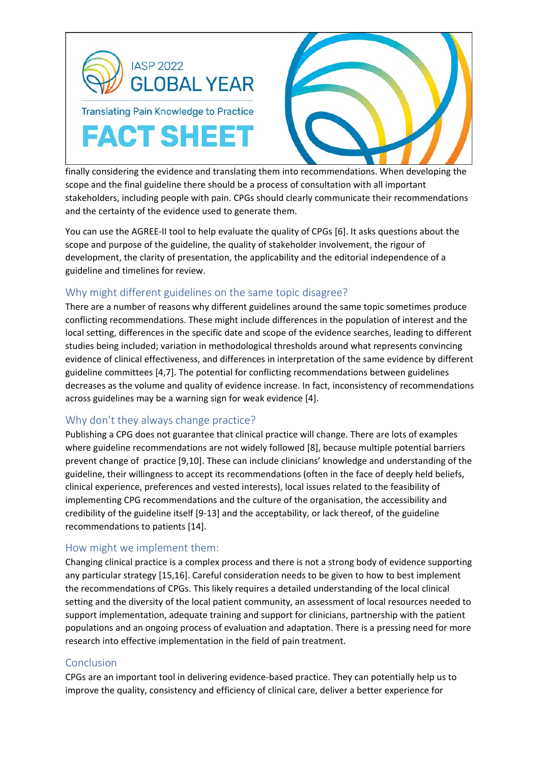



finally considering the evidence and translating them into recommendations. When developing the scope and the final guideline there should be a process of consultation with all important stakeholders, including people with pain. CPGs should clearly communicate their recommendations and the certainty of the evidence used to generate them.

You can use the AGREE-II tool to help evaluate the quality of CPGs [6]. It asks questions about the scope and purpose of the guideline, the quality of stakeholder involvement, the rigour of development, the clarity of presentation, the applicability and the editorial independence of a guideline and timelines for review.

## Why might different guidelines on the same topic disagree?

There are a number of reasons why different guidelines around the same topic sometimes produce conflicting recommendations. These might include differences in the population of interest and the local setting, differences in the specific date and scope of the evidence searches, leading to different studies being included; variation in methodological thresholds around what represents convincing evidence of clinical effectiveness, and differences in interpretation of the same evidence by different guideline committees [4,7]. The potential for conflicting recommendations between guidelines decreases as the volume and quality of evidence increase. In fact, inconsistency of recommendations across guidelines may be a warning sign for weak evidence [4].

## Why don't they always change practice?

Publishing a CPG does not guarantee that clinical practice will change. There are lots of examples where guideline recommendations are not widely followed [8], because multiple potential barriers prevent change of practice [9,10]. These can include clinicians' knowledge and understanding of the guideline, their willingness to accept its recommendations (often in the face of deeply held beliefs, clinical experience, preferences and vested interests), local issues related to the feasibility of implementing CPG recommendations and the culture of the organisation, the accessibility and credibility of the guideline itself [9-13] and the acceptability, or lack thereof, of the guideline recommendations to patients [14].

## How might we implement them:

Changing clinical practice is a complex process and there is not a strong body of evidence supporting any particular strategy [15,16]. Careful consideration needs to be given to how to best implement the recommendations of CPGs. This likely requires a detailed understanding of the local clinical setting and the diversity of the local patient community, an assessment of local resources needed to support implementation, adequate training and support for clinicians, partnership with the patient populations and an ongoing process of evaluation and adaptation. There is a pressing need for more research into effective implementation in the field of pain treatment.

## Conclusion

CPGs are an important tool in delivering evidence-based practice. They can potentially help us to improve the quality, consistency and efficiency of clinical care, deliver a better experience for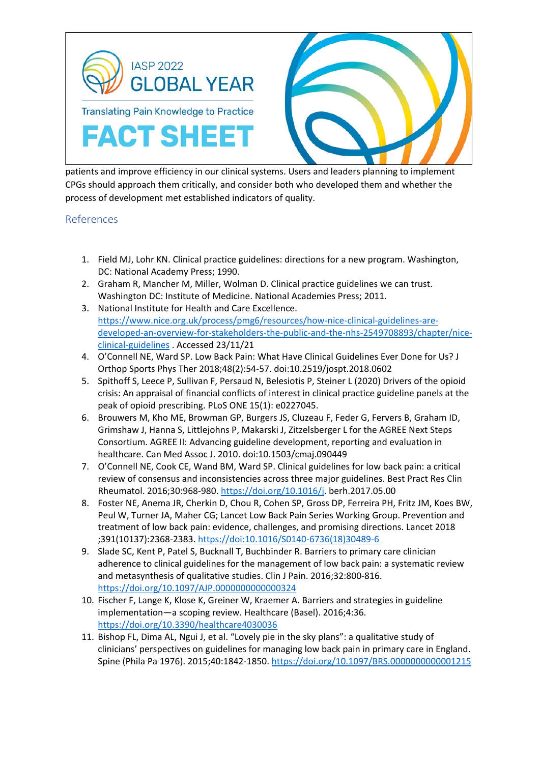

patients and improve efficiency in our clinical systems. Users and leaders planning to implement CPGs should approach them critically, and consider both who developed them and whether the process of development met established indicators of quality.

#### References

- 1. Field MJ, Lohr KN. Clinical practice guidelines: directions for a new program. Washington, DC: National Academy Press; 1990.
- 2. Graham R, Mancher M, Miller, Wolman D. Clinical practice guidelines we can trust. Washington DC: Institute of Medicine. National Academies Press; 2011.
- 3. National Institute for Health and Care Excellence. [https://www.nice.org.uk/process/pmg6/resources/how-nice-clinical-guidelines-are](https://www.nice.org.uk/process/pmg6/resources/how-nice-clinical-guidelines-are-developed-an-overview-for-stakeholders-the-public-and-the-nhs-2549708893/chapter/nice-clinical-guidelines)[developed-an-overview-for-stakeholders-the-public-and-the-nhs-2549708893/chapter/nice](https://www.nice.org.uk/process/pmg6/resources/how-nice-clinical-guidelines-are-developed-an-overview-for-stakeholders-the-public-and-the-nhs-2549708893/chapter/nice-clinical-guidelines)[clinical-guidelines](https://www.nice.org.uk/process/pmg6/resources/how-nice-clinical-guidelines-are-developed-an-overview-for-stakeholders-the-public-and-the-nhs-2549708893/chapter/nice-clinical-guidelines) . Accessed 23/11/21
- 4. O'Connell NE, Ward SP. Low Back Pain: What Have Clinical Guidelines Ever Done for Us? J Orthop Sports Phys Ther 2018;48(2):54-57. doi:10.2519/jospt.2018.0602
- 5. Spithoff S, Leece P, Sullivan F, Persaud N, Belesiotis P, Steiner L (2020) Drivers of the opioid crisis: An appraisal of financial conflicts of interest in clinical practice guideline panels at the peak of opioid prescribing. PLoS ONE 15(1): e0227045.
- 6. Brouwers M, Kho ME, Browman GP, Burgers JS, Cluzeau F, Feder G, Fervers B, Graham ID, Grimshaw J, Hanna S, Littlejohns P, Makarski J, Zitzelsberger L for the AGREE Next Steps Consortium. AGREE II: Advancing guideline development, reporting and evaluation in healthcare. Can Med Assoc J. 2010. doi:10.1503/cmaj.090449
- 7. O'Connell NE, Cook CE, Wand BM, Ward SP. Clinical guidelines for low back pain: a critical review of consensus and inconsistencies across three major guidelines. Best Pract Res Clin Rheumatol. 2016;30:968-980. [https://doi.org/10.1016/j.](https://doi.org/10.1016/j) berh.2017.05.00
- 8. Foster NE, Anema JR, Cherkin D, Chou R, Cohen SP, Gross DP, Ferreira PH, Fritz JM, Koes BW, Peul W, Turner JA, Maher CG; Lancet Low Back Pain Series Working Group. Prevention and treatment of low back pain: evidence, challenges, and promising directions. Lancet 2018 ;391(10137):2368-2383. [https://doi:10.1016/S0140-6736\(18\)30489-6](https://doi:10.1016/S0140-6736(18)30489-6)
- 9. Slade SC, Kent P, Patel S, Bucknall T, Buchbinder R. Barriers to primary care clinician adherence to clinical guidelines for the management of low back pain: a systematic review and metasynthesis of qualitative studies. Clin J Pain. 2016;32:800-816. <https://doi.org/10.1097/AJP.0000000000000324>
- 10. Fischer F, Lange K, Klose K, Greiner W, Kraemer A. Barriers and strategies in guideline implementation—a scoping review. Healthcare (Basel). 2016;4:36. <https://doi.org/10.3390/healthcare4030036>
- 11. Bishop FL, Dima AL, Ngui J, et al. "Lovely pie in the sky plans": a qualitative study of clinicians' perspectives on guidelines for managing low back pain in primary care in England. Spine (Phila Pa 1976). 2015;40:1842-1850[. https://doi.org/10.1097/BRS.0000000000001215](https://doi.org/10.1097/BRS.0000000000001215)